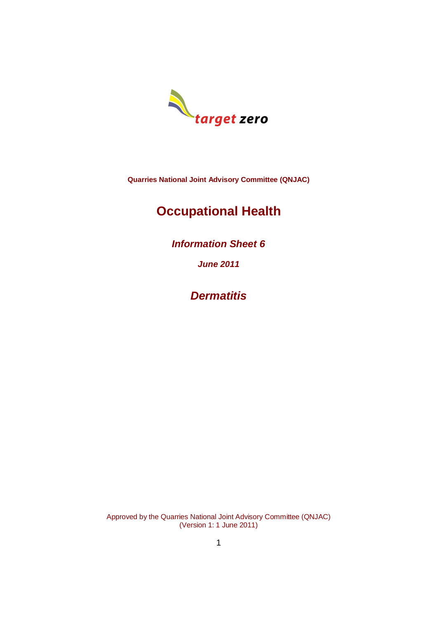

**Quarries National Joint Advisory Committee (QNJAC)**

# **Occupational Health**

*Information Sheet 6*

*June 2011*

*Dermatitis*

Approved by the Quarries National Joint Advisory Committee (QNJAC) (Version 1: 1 June 2011)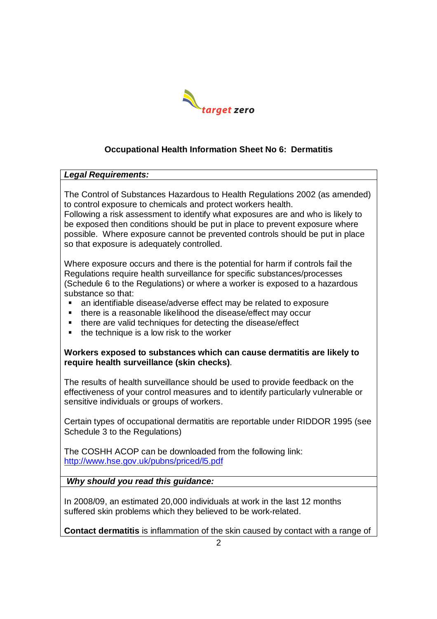

# **Occupational Health Information Sheet No 6: Dermatitis**

#### *Legal Requirements:*

The Control of Substances Hazardous to Health Regulations 2002 (as amended) to control exposure to chemicals and protect workers health.

Following a risk assessment to identify what exposures are and who is likely to be exposed then conditions should be put in place to prevent exposure where possible. Where exposure cannot be prevented controls should be put in place so that exposure is adequately controlled.

Where exposure occurs and there is the potential for harm if controls fail the Regulations require health surveillance for specific substances/processes (Schedule 6 to the Regulations) or where a worker is exposed to a hazardous substance so that:

- an identifiable disease/adverse effect may be related to exposure
- there is a reasonable likelihood the disease/effect may occur
- **there are valid techniques for detecting the disease/effect**
- the technique is a low risk to the worker

**Workers exposed to substances which can cause dermatitis are likely to require health surveillance (skin checks)**.

The results of health surveillance should be used to provide feedback on the effectiveness of your control measures and to identify particularly vulnerable or sensitive individuals or groups of workers.

Certain types of occupational dermatitis are reportable under RIDDOR 1995 (see Schedule 3 to the Regulations)

The COSHH ACOP can be downloaded from the following link: http://www.hse.gov.uk/pubns/priced/l5.pdf

*Why should you read this guidance:*

In 2008/09, an estimated 20,000 individuals at work in the last 12 months suffered skin problems which they believed to be work-related.

**Contact dermatitis** is inflammation of the skin caused by contact with a range of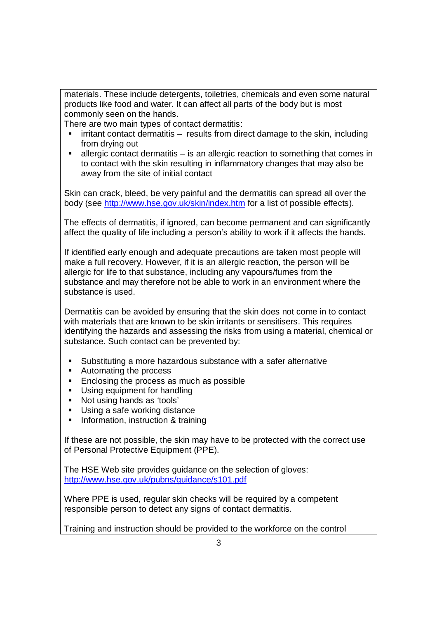materials. These include detergents, toiletries, chemicals and even some natural products like food and water. It can affect all parts of the body but is most commonly seen on the hands.

There are two main types of contact dermatitis:

- $\blacksquare$  irritant contact dermatitis results from direct damage to the skin, including from drying out
- $\blacksquare$  allergic contact dermatitis is an allergic reaction to something that comes in to contact with the skin resulting in inflammatory changes that may also be away from the site of initial contact

Skin can crack, bleed, be very painful and the dermatitis can spread all over the body (see http://www.hse.gov.uk/skin/index.htm for a list of possible effects).

The effects of dermatitis, if ignored, can become permanent and can significantly affect the quality of life including a person's ability to work if it affects the hands.

If identified early enough and adequate precautions are taken most people will make a full recovery. However, if it is an allergic reaction, the person will be allergic for life to that substance, including any vapours/fumes from the substance and may therefore not be able to work in an environment where the substance is used.

Dermatitis can be avoided by ensuring that the skin does not come in to contact with materials that are known to be skin irritants or sensitisers. This requires identifying the hazards and assessing the risks from using a material, chemical or substance. Such contact can be prevented by:

- Substituting a more hazardous substance with a safer alternative
- Automating the process
- **Enclosing the process as much as possible**
- **Using equipment for handling**
- Not using hands as 'tools'
- Using a safe working distance
- **Information, instruction & training**

If these are not possible, the skin may have to be protected with the correct use of Personal Protective Equipment (PPE).

The HSE Web site provides guidance on the selection of gloves: http://www.hse.gov.uk/pubns/guidance/s101.pdf

Where PPE is used, regular skin checks will be required by a competent responsible person to detect any signs of contact dermatitis.

Training and instruction should be provided to the workforce on the control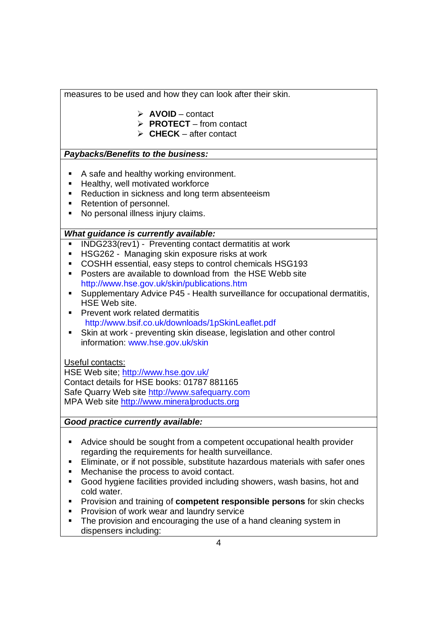measures to be used and how they can look after their skin.

- **AVOID** contact
- **PROTECT** from contact
- $\triangleright$  **CHECK** after contact

# *Paybacks/Benefits to the business:*

- A safe and healthy working environment.
- **Healthy, well motivated workforce**
- Reduction in sickness and long term absenteeism
- Retention of personnel.
- No personal illness injury claims.

# *What guidance is currently available:*

- INDG233(rev1) Preventing contact dermatitis at work
- **-** HSG262 Managing skin exposure risks at work
- COSHH essential, easy steps to control chemicals HSG193
- **Posters are available to download from the HSE Webb site** http://www.hse.gov.uk/skin/publications.htm
- Supplementary Advice P45 Health surveillance for occupational dermatitis, HSE Web site.
- **Prevent work related dermatitis** http://www.bsif.co.uk/downloads/1pSkinLeaflet.pdf
- Skin at work preventing skin disease, legislation and other control information: www.hse.gov.uk/skin

# Useful contacts:

HSE Web site; http://www.hse.gov.uk/ Contact details for HSE books: 01787 881165 Safe Quarry Web site http://www.safequarry.com MPA Web site http://www.mineralproducts.org

# *Good practice currently available:*

- Advice should be sought from a competent occupational health provider regarding the requirements for health surveillance.
- Eliminate, or if not possible, substitute hazardous materials with safer ones
- Mechanise the process to avoid contact.
- Good hygiene facilities provided including showers, wash basins, hot and cold water.
- **Provision and training of competent responsible persons for skin checks**
- **Provision of work wear and laundry service**
- The provision and encouraging the use of a hand cleaning system in dispensers including: